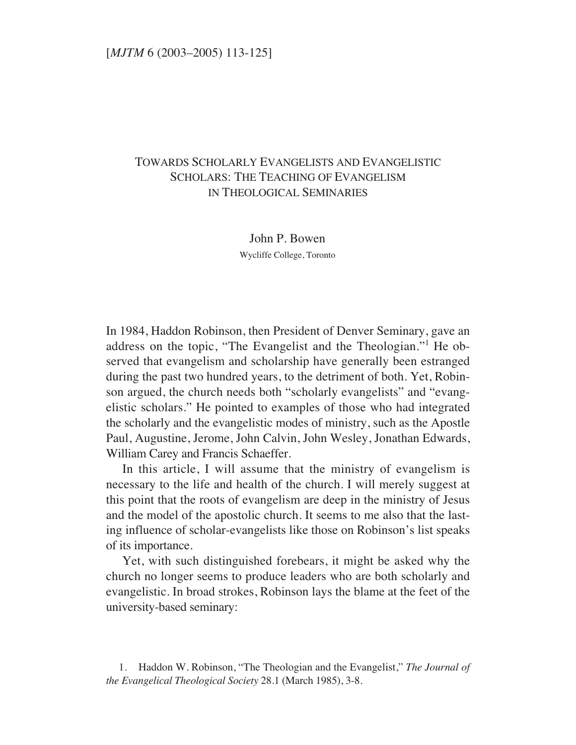# TOWARDS SCHOLARLY EVANGELISTS AND EVANGELISTIC SCHOLARS: THE TEACHING OF EVANGELISM IN THEOLOGICAL SEMINARIES

# John P. Bowen Wycliffe College, Toronto

In 1984, Haddon Robinson, then President of Denver Seminary, gave an address on the topic, "The Evangelist and the Theologian."1 He observed that evangelism and scholarship have generally been estranged during the past two hundred years, to the detriment of both. Yet, Robinson argued, the church needs both "scholarly evangelists" and "evangelistic scholars." He pointed to examples of those who had integrated the scholarly and the evangelistic modes of ministry, such as the Apostle Paul, Augustine, Jerome, John Calvin, John Wesley, Jonathan Edwards, William Carey and Francis Schaeffer.

In this article, I will assume that the ministry of evangelism is necessary to the life and health of the church. I will merely suggest at this point that the roots of evangelism are deep in the ministry of Jesus and the model of the apostolic church. It seems to me also that the lasting influence of scholar-evangelists like those on Robinson's list speaks of its importance.

Yet, with such distinguished forebears, it might be asked why the church no longer seems to produce leaders who are both scholarly and evangelistic. In broad strokes, Robinson lays the blame at the feet of the university-based seminary:

1. Haddon W. Robinson, "The Theologian and the Evangelist," *The Journal of the Evangelical Theological Society* 28.1 (March 1985), 3-8.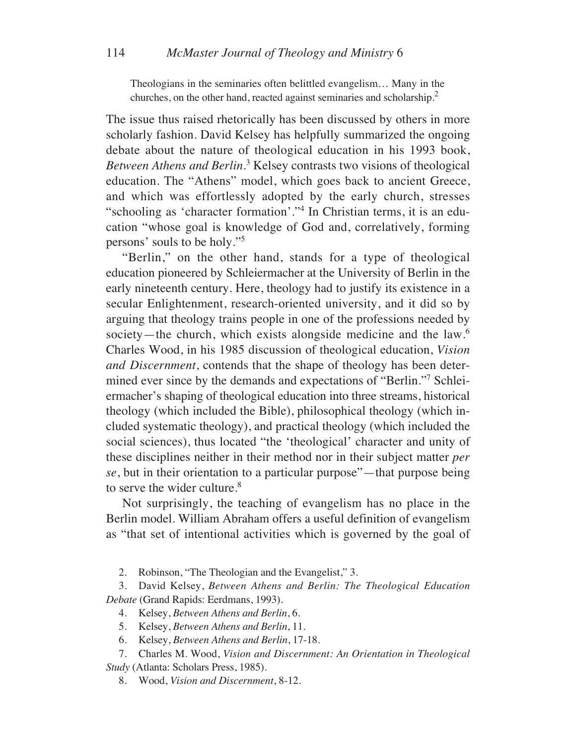Theologians in the seminaries often belittled evangelism… Many in the churches, on the other hand, reacted against seminaries and scholarship.<sup>2</sup>

The issue thus raised rhetorically has been discussed by others in more scholarly fashion. David Kelsey has helpfully summarized the ongoing debate about the nature of theological education in his 1993 book, Between Athens and Berlin.<sup>3</sup> Kelsey contrasts two visions of theological education. The "Athens" model, which goes back to ancient Greece, and which was effortlessly adopted by the early church, stresses "schooling as 'character formation'."4 In Christian terms, it is an education "whose goal is knowledge of God and, correlatively, forming persons' souls to be holy."5

"Berlin," on the other hand, stands for a type of theological education pioneered by Schleiermacher at the University of Berlin in the early nineteenth century. Here, theology had to justify its existence in a secular Enlightenment, research-oriented university, and it did so by arguing that theology trains people in one of the professions needed by society—the church, which exists alongside medicine and the law.6 Charles Wood, in his 1985 discussion of theological education, *Vision and Discernment*, contends that the shape of theology has been determined ever since by the demands and expectations of "Berlin."7 Schleiermacher's shaping of theological education into three streams, historical theology (which included the Bible), philosophical theology (which included systematic theology), and practical theology (which included the social sciences), thus located "the 'theological' character and unity of these disciplines neither in their method nor in their subject matter *per se*, but in their orientation to a particular purpose"—that purpose being to serve the wider culture.<sup>8</sup>

Not surprisingly, the teaching of evangelism has no place in the Berlin model. William Abraham offers a useful definition of evangelism as "that set of intentional activities which is governed by the goal of

2. Robinson, "The Theologian and the Evangelist," 3.

3. David Kelsey, *Between Athens and Berlin: The Theological Education Debate* (Grand Rapids: Eerdmans, 1993).

- 4. Kelsey, *Between Athens and Berlin*, 6.
- 5. Kelsey, *Between Athens and Berlin*, 11.
- 6. Kelsey, *Between Athens and Berlin*, 17-18.
- 7. Charles M. Wood, *Vision and Discernment: An Orientation in Theological Study* (Atlanta: Scholars Press, 1985).

8. Wood, *Vision and Discernment*, 8-12.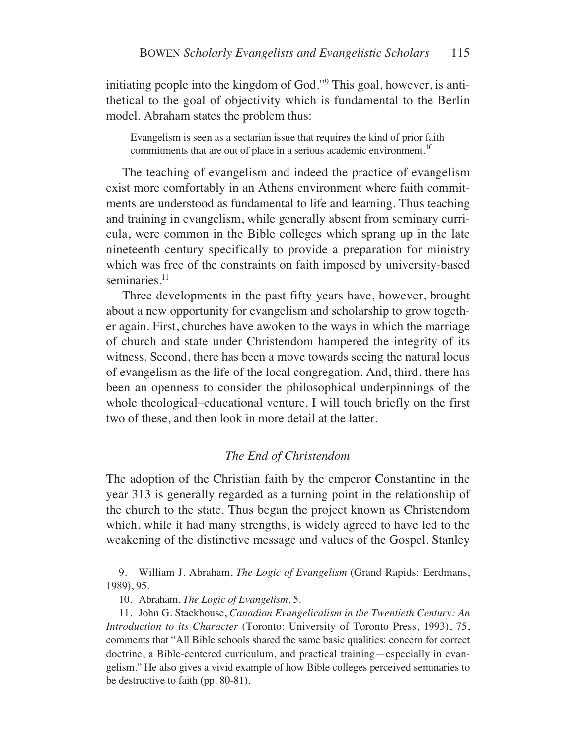initiating people into the kingdom of God."<sup>9</sup> This goal, however, is antithetical to the goal of objectivity which is fundamental to the Berlin model. Abraham states the problem thus:

Evangelism is seen as a sectarian issue that requires the kind of prior faith commitments that are out of place in a serious academic environment.<sup>10</sup>

The teaching of evangelism and indeed the practice of evangelism exist more comfortably in an Athens environment where faith commitments are understood as fundamental to life and learning. Thus teaching and training in evangelism, while generally absent from seminary curricula, were common in the Bible colleges which sprang up in the late nineteenth century specifically to provide a preparation for ministry which was free of the constraints on faith imposed by university-based seminaries.<sup>11</sup>

Three developments in the past fifty years have, however, brought about a new opportunity for evangelism and scholarship to grow together again. First, churches have awoken to the ways in which the marriage of church and state under Christendom hampered the integrity of its witness. Second, there has been a move towards seeing the natural locus of evangelism as the life of the local congregation. And, third, there has been an openness to consider the philosophical underpinnings of the whole theological–educational venture. I will touch briefly on the first two of these, and then look in more detail at the latter.

# *The End of Christendom*

The adoption of the Christian faith by the emperor Constantine in the year 313 is generally regarded as a turning point in the relationship of the church to the state. Thus began the project known as Christendom which, while it had many strengths, is widely agreed to have led to the weakening of the distinctive message and values of the Gospel. Stanley

9. William J. Abraham, *The Logic of Evangelism* (Grand Rapids: Eerdmans, 1989), 95.

10. Abraham, *The Logic of Evangelism*, 5.

11. John G. Stackhouse, *Canadian Evangelicalism in the Twentieth Century: An Introduction to its Character* (Toronto: University of Toronto Press, 1993), 75, comments that "All Bible schools shared the same basic qualities: concern for correct doctrine, a Bible-centered curriculum, and practical training—especially in evangelism." He also gives a vivid example of how Bible colleges perceived seminaries to be destructive to faith (pp. 80-81).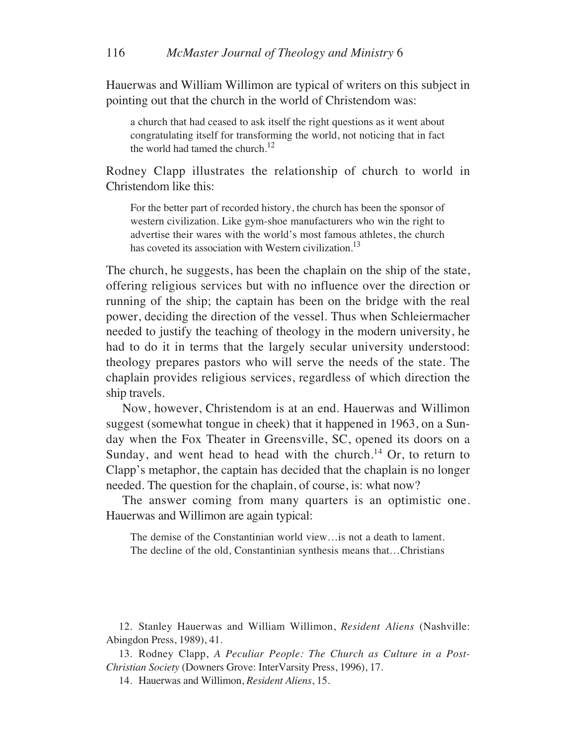Hauerwas and William Willimon are typical of writers on this subject in pointing out that the church in the world of Christendom was:

a church that had ceased to ask itself the right questions as it went about congratulating itself for transforming the world, not noticing that in fact the world had tamed the church.<sup>12</sup>

Rodney Clapp illustrates the relationship of church to world in Christendom like this:

For the better part of recorded history, the church has been the sponsor of western civilization. Like gym-shoe manufacturers who win the right to advertise their wares with the world's most famous athletes, the church has coveted its association with Western civilization.<sup>13</sup>

The church, he suggests, has been the chaplain on the ship of the state, offering religious services but with no influence over the direction or running of the ship; the captain has been on the bridge with the real power, deciding the direction of the vessel. Thus when Schleiermacher needed to justify the teaching of theology in the modern university, he had to do it in terms that the largely secular university understood: theology prepares pastors who will serve the needs of the state. The chaplain provides religious services, regardless of which direction the ship travels.

Now, however, Christendom is at an end. Hauerwas and Willimon suggest (somewhat tongue in cheek) that it happened in 1963, on a Sunday when the Fox Theater in Greensville, SC, opened its doors on a Sunday, and went head to head with the church.<sup>14</sup> Or, to return to Clapp's metaphor, the captain has decided that the chaplain is no longer needed. The question for the chaplain, of course, is: what now?

The answer coming from many quarters is an optimistic one. Hauerwas and Willimon are again typical:

The demise of the Constantinian world view…is not a death to lament. The decline of the old, Constantinian synthesis means that…Christians

12. Stanley Hauerwas and William Willimon, *Resident Aliens* (Nashville: Abingdon Press, 1989), 41.

13. Rodney Clapp, *A Peculiar People: The Church as Culture in a Post-Christian Society* (Downers Grove: InterVarsity Press, 1996), 17.

14. Hauerwas and Willimon, *Resident Aliens*, 15.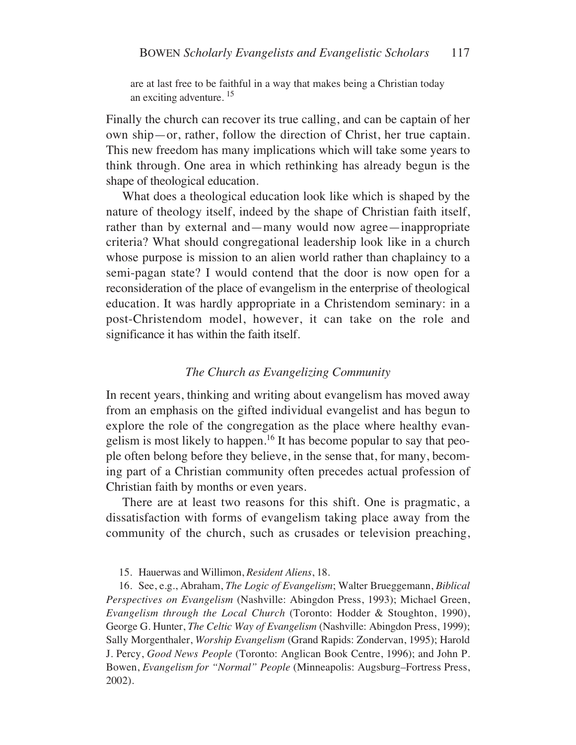are at last free to be faithful in a way that makes being a Christian today an exciting adventure.<sup>15</sup>

Finally the church can recover its true calling, and can be captain of her own ship—or, rather, follow the direction of Christ, her true captain. This new freedom has many implications which will take some years to think through. One area in which rethinking has already begun is the shape of theological education.

What does a theological education look like which is shaped by the nature of theology itself, indeed by the shape of Christian faith itself, rather than by external and—many would now agree—inappropriate criteria? What should congregational leadership look like in a church whose purpose is mission to an alien world rather than chaplaincy to a semi-pagan state? I would contend that the door is now open for a reconsideration of the place of evangelism in the enterprise of theological education. It was hardly appropriate in a Christendom seminary: in a post-Christendom model, however, it can take on the role and significance it has within the faith itself.

# *The Church as Evangelizing Community*

In recent years, thinking and writing about evangelism has moved away from an emphasis on the gifted individual evangelist and has begun to explore the role of the congregation as the place where healthy evangelism is most likely to happen.16 It has become popular to say that people often belong before they believe, in the sense that, for many, becoming part of a Christian community often precedes actual profession of Christian faith by months or even years.

There are at least two reasons for this shift. One is pragmatic, a dissatisfaction with forms of evangelism taking place away from the community of the church, such as crusades or television preaching,

15. Hauerwas and Willimon, *Resident Aliens*, 18.

16. See, e.g., Abraham, *The Logic of Evangelism*; Walter Brueggemann, *Biblical Perspectives on Evangelism* (Nashville: Abingdon Press, 1993); Michael Green, *Evangelism through the Local Church* (Toronto: Hodder & Stoughton, 1990), George G. Hunter, *The Celtic Way of Evangelism* (Nashville: Abingdon Press, 1999); Sally Morgenthaler, *Worship Evangelism* (Grand Rapids: Zondervan, 1995); Harold J. Percy, *Good News People* (Toronto: Anglican Book Centre, 1996); and John P. Bowen, *Evangelism for "Normal" People* (Minneapolis: Augsburg–Fortress Press, 2002).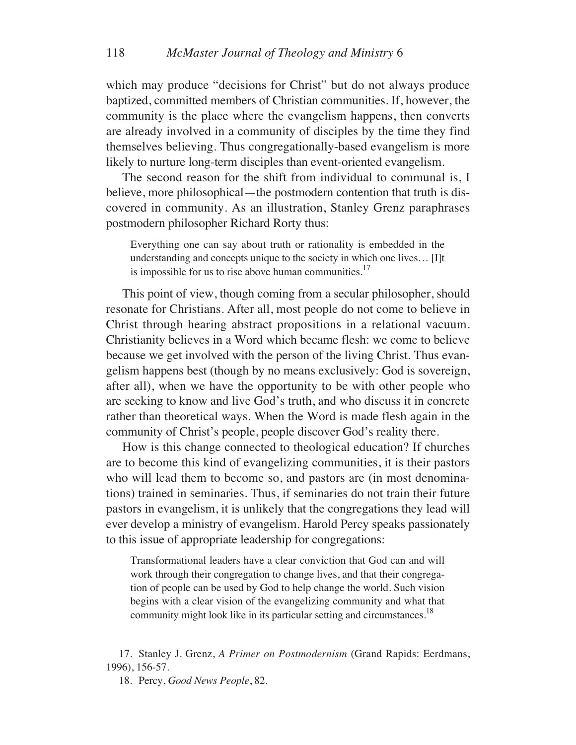which may produce "decisions for Christ" but do not always produce baptized, committed members of Christian communities. If, however, the community is the place where the evangelism happens, then converts are already involved in a community of disciples by the time they find themselves believing. Thus congregationally-based evangelism is more likely to nurture long-term disciples than event-oriented evangelism.

The second reason for the shift from individual to communal is, I believe, more philosophical—the postmodern contention that truth is discovered in community. As an illustration, Stanley Grenz paraphrases postmodern philosopher Richard Rorty thus:

Everything one can say about truth or rationality is embedded in the understanding and concepts unique to the society in which one lives… [I]t is impossible for us to rise above human communities.<sup>17</sup>

This point of view, though coming from a secular philosopher, should resonate for Christians. After all, most people do not come to believe in Christ through hearing abstract propositions in a relational vacuum. Christianity believes in a Word which became flesh: we come to believe because we get involved with the person of the living Christ. Thus evangelism happens best (though by no means exclusively: God is sovereign, after all), when we have the opportunity to be with other people who are seeking to know and live God's truth, and who discuss it in concrete rather than theoretical ways. When the Word is made flesh again in the community of Christ's people, people discover God's reality there.

How is this change connected to theological education? If churches are to become this kind of evangelizing communities, it is their pastors who will lead them to become so, and pastors are (in most denominations) trained in seminaries. Thus, if seminaries do not train their future pastors in evangelism, it is unlikely that the congregations they lead will ever develop a ministry of evangelism. Harold Percy speaks passionately to this issue of appropriate leadership for congregations:

Transformational leaders have a clear conviction that God can and will work through their congregation to change lives, and that their congregation of people can be used by God to help change the world. Such vision begins with a clear vision of the evangelizing community and what that community might look like in its particular setting and circumstances.<sup>18</sup>

17. Stanley J. Grenz, *A Primer on Postmodernism* (Grand Rapids: Eerdmans, 1996), 156-57.

18. Percy, *Good News People*, 82.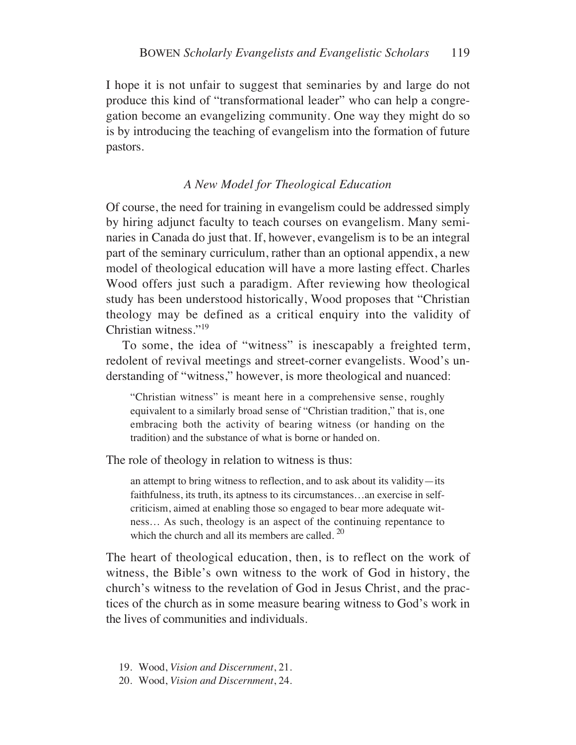I hope it is not unfair to suggest that seminaries by and large do not produce this kind of "transformational leader" who can help a congregation become an evangelizing community. One way they might do so is by introducing the teaching of evangelism into the formation of future pastors.

#### *A New Model for Theological Education*

Of course, the need for training in evangelism could be addressed simply by hiring adjunct faculty to teach courses on evangelism. Many seminaries in Canada do just that. If, however, evangelism is to be an integral part of the seminary curriculum, rather than an optional appendix, a new model of theological education will have a more lasting effect. Charles Wood offers just such a paradigm. After reviewing how theological study has been understood historically, Wood proposes that "Christian theology may be defined as a critical enquiry into the validity of Christian witness."19

To some, the idea of "witness" is inescapably a freighted term, redolent of revival meetings and street-corner evangelists. Wood's understanding of "witness," however, is more theological and nuanced:

"Christian witness" is meant here in a comprehensive sense, roughly equivalent to a similarly broad sense of "Christian tradition," that is, one embracing both the activity of bearing witness (or handing on the tradition) and the substance of what is borne or handed on.

The role of theology in relation to witness is thus:

an attempt to bring witness to reflection, and to ask about its validity—its faithfulness, its truth, its aptness to its circumstances…an exercise in selfcriticism, aimed at enabling those so engaged to bear more adequate witness… As such, theology is an aspect of the continuing repentance to which the church and all its members are called.<sup>20</sup>

The heart of theological education, then, is to reflect on the work of witness, the Bible's own witness to the work of God in history, the church's witness to the revelation of God in Jesus Christ, and the practices of the church as in some measure bearing witness to God's work in the lives of communities and individuals.

- 19. Wood, *Vision and Discernment*, 21.
- 20. Wood, *Vision and Discernment*, 24.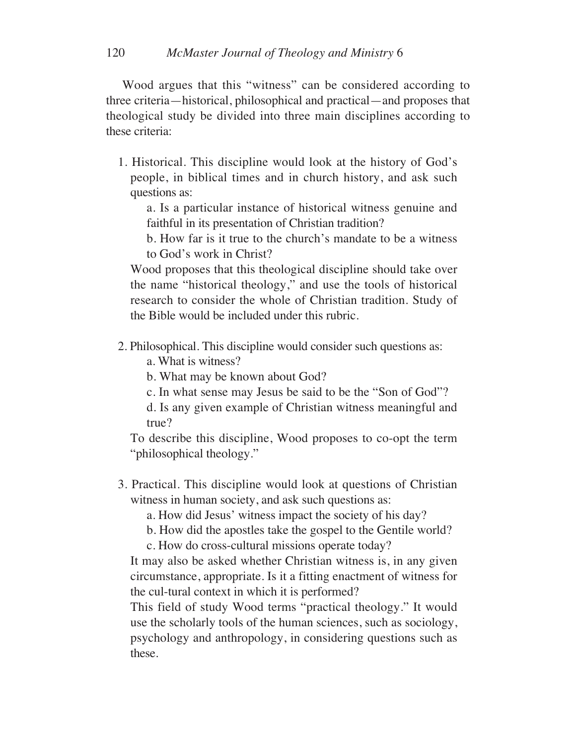Wood argues that this "witness" can be considered according to three criteria—historical, philosophical and practical—and proposes that theological study be divided into three main disciplines according to these criteria:

1. Historical. This discipline would look at the history of God's people, in biblical times and in church history, and ask such questions as:

a. Is a particular instance of historical witness genuine and faithful in its presentation of Christian tradition?

b. How far is it true to the church's mandate to be a witness to God's work in Christ?

Wood proposes that this theological discipline should take over the name "historical theology," and use the tools of historical research to consider the whole of Christian tradition. Study of the Bible would be included under this rubric.

- 2. Philosophical. This discipline would consider such questions as:
	- a. What is witness?
	- b. What may be known about God?
	- c. In what sense may Jesus be said to be the "Son of God"?
	- d. Is any given example of Christian witness meaningful and true?

To describe this discipline, Wood proposes to co-opt the term "philosophical theology."

3. Practical. This discipline would look at questions of Christian witness in human society, and ask such questions as:

a. How did Jesus' witness impact the society of his day?

b. How did the apostles take the gospel to the Gentile world?

c. How do cross-cultural missions operate today?

It may also be asked whether Christian witness is, in any given circumstance, appropriate. Is it a fitting enactment of witness for the cul-tural context in which it is performed?

This field of study Wood terms "practical theology." It would use the scholarly tools of the human sciences, such as sociology, psychology and anthropology, in considering questions such as these.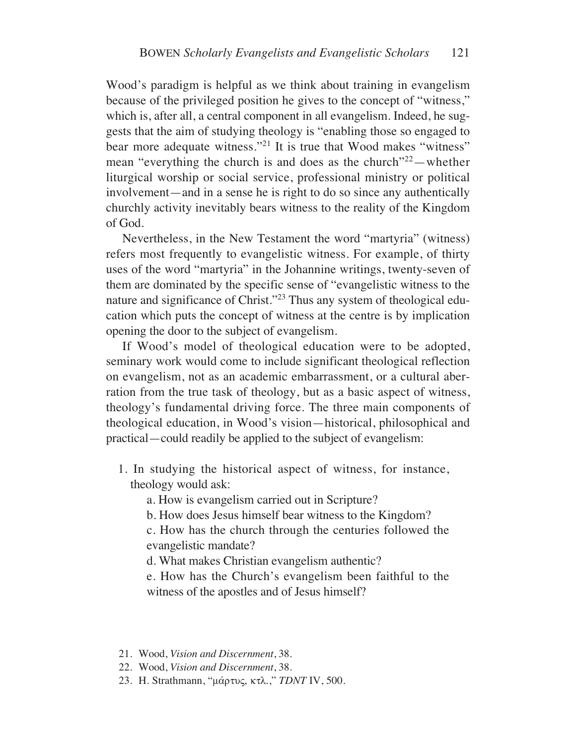Wood's paradigm is helpful as we think about training in evangelism because of the privileged position he gives to the concept of "witness," which is, after all, a central component in all evangelism. Indeed, he suggests that the aim of studying theology is "enabling those so engaged to bear more adequate witness."<sup>21</sup> It is true that Wood makes "witness" mean "everything the church is and does as the church"22—whether liturgical worship or social service, professional ministry or political involvement—and in a sense he is right to do so since any authentically churchly activity inevitably bears witness to the reality of the Kingdom of God.

Nevertheless, in the New Testament the word "martyria" (witness) refers most frequently to evangelistic witness. For example, of thirty uses of the word "martyria" in the Johannine writings, twenty-seven of them are dominated by the specific sense of "evangelistic witness to the nature and significance of Christ."23 Thus any system of theological education which puts the concept of witness at the centre is by implication opening the door to the subject of evangelism.

If Wood's model of theological education were to be adopted, seminary work would come to include significant theological reflection on evangelism, not as an academic embarrassment, or a cultural aberration from the true task of theology, but as a basic aspect of witness, theology's fundamental driving force. The three main components of theological education, in Wood's vision—historical, philosophical and practical—could readily be applied to the subject of evangelism:

- 1. In studying the historical aspect of witness, for instance, theology would ask:
	- a. How is evangelism carried out in Scripture?
	- b. How does Jesus himself bear witness to the Kingdom?

c. How has the church through the centuries followed the evangelistic mandate?

d. What makes Christian evangelism authentic?

e. How has the Church's evangelism been faithful to the witness of the apostles and of Jesus himself?

- 21. Wood, *Vision and Discernment*, 38.
- 22. Wood, *Vision and Discernment*, 38.
- 23. H. Strathmann, "μάρτυς, κτλ.," *TDNT* IV, 500.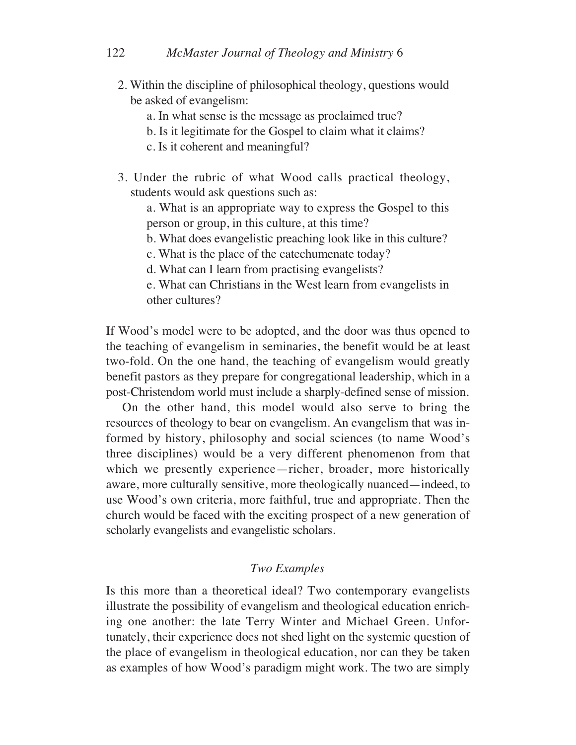2. Within the discipline of philosophical theology, questions would be asked of evangelism:

a. In what sense is the message as proclaimed true?

- b. Is it legitimate for the Gospel to claim what it claims?
- c. Is it coherent and meaningful?
- 3. Under the rubric of what Wood calls practical theology, students would ask questions such as:

a. What is an appropriate way to express the Gospel to this person or group, in this culture, at this time?

b. What does evangelistic preaching look like in this culture?

c. What is the place of the catechumenate today?

d. What can I learn from practising evangelists?

e. What can Christians in the West learn from evangelists in other cultures?

If Wood's model were to be adopted, and the door was thus opened to the teaching of evangelism in seminaries, the benefit would be at least two-fold. On the one hand, the teaching of evangelism would greatly benefit pastors as they prepare for congregational leadership, which in a post-Christendom world must include a sharply-defined sense of mission.

On the other hand, this model would also serve to bring the resources of theology to bear on evangelism. An evangelism that was informed by history, philosophy and social sciences (to name Wood's three disciplines) would be a very different phenomenon from that which we presently experience—richer, broader, more historically aware, more culturally sensitive, more theologically nuanced—indeed, to use Wood's own criteria, more faithful, true and appropriate. Then the church would be faced with the exciting prospect of a new generation of scholarly evangelists and evangelistic scholars.

# *Two Examples*

Is this more than a theoretical ideal? Two contemporary evangelists illustrate the possibility of evangelism and theological education enriching one another: the late Terry Winter and Michael Green. Unfortunately, their experience does not shed light on the systemic question of the place of evangelism in theological education, nor can they be taken as examples of how Wood's paradigm might work. The two are simply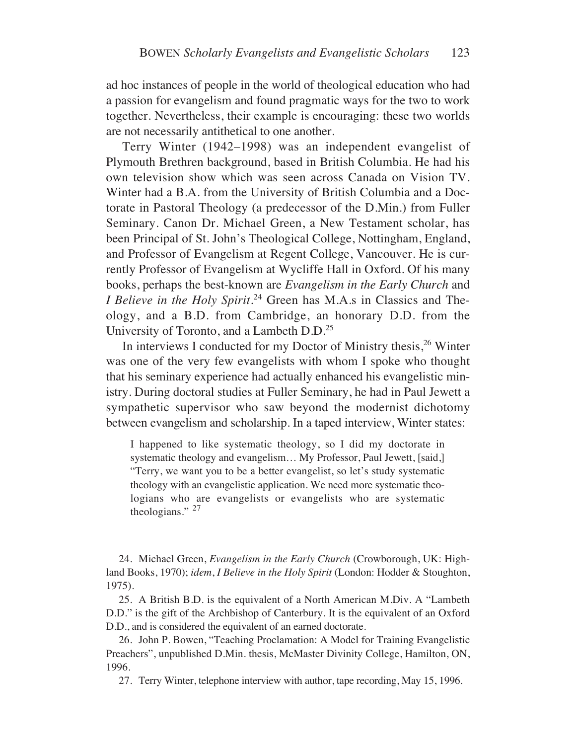ad hoc instances of people in the world of theological education who had a passion for evangelism and found pragmatic ways for the two to work together. Nevertheless, their example is encouraging: these two worlds are not necessarily antithetical to one another.

Terry Winter (1942–1998) was an independent evangelist of Plymouth Brethren background, based in British Columbia. He had his own television show which was seen across Canada on Vision TV. Winter had a B.A. from the University of British Columbia and a Doctorate in Pastoral Theology (a predecessor of the D.Min.) from Fuller Seminary. Canon Dr. Michael Green, a New Testament scholar, has been Principal of St. John's Theological College, Nottingham, England, and Professor of Evangelism at Regent College, Vancouver. He is currently Professor of Evangelism at Wycliffe Hall in Oxford. Of his many books, perhaps the best-known are *Evangelism in the Early Church* and *I Believe in the Holy Spirit*. <sup>24</sup> Green has M.A.s in Classics and Theology, and a B.D. from Cambridge, an honorary D.D. from the University of Toronto, and a Lambeth D.D.25

In interviews I conducted for my Doctor of Ministry thesis,<sup>26</sup> Winter was one of the very few evangelists with whom I spoke who thought that his seminary experience had actually enhanced his evangelistic ministry. During doctoral studies at Fuller Seminary, he had in Paul Jewett a sympathetic supervisor who saw beyond the modernist dichotomy between evangelism and scholarship. In a taped interview, Winter states:

I happened to like systematic theology, so I did my doctorate in systematic theology and evangelism... My Professor, Paul Jewett, [said,] "Terry, we want you to be a better evangelist, so let's study systematic theology with an evangelistic application. We need more systematic theologians who are evangelists or evangelists who are systematic theologians." $^{27}$ 

24. Michael Green, *Evangelism in the Early Church* (Crowborough, UK: Highland Books, 1970); *idem*, *I Believe in the Holy Spirit* (London: Hodder & Stoughton, 1975).

25. A British B.D. is the equivalent of a North American M.Div. A "Lambeth D.D." is the gift of the Archbishop of Canterbury. It is the equivalent of an Oxford D.D., and is considered the equivalent of an earned doctorate.

26. John P. Bowen, "Teaching Proclamation: A Model for Training Evangelistic Preachers", unpublished D.Min. thesis, McMaster Divinity College, Hamilton, ON, 1996.

27. Terry Winter, telephone interview with author, tape recording, May 15, 1996.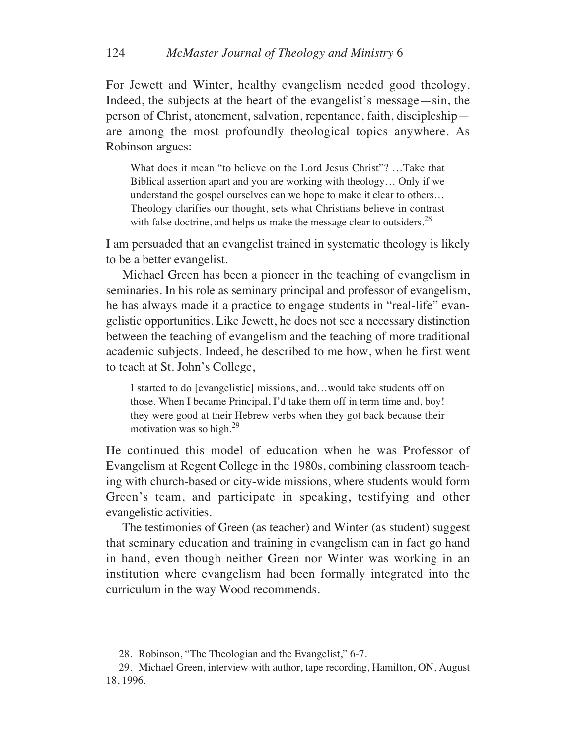For Jewett and Winter, healthy evangelism needed good theology. Indeed, the subjects at the heart of the evangelist's message—sin, the person of Christ, atonement, salvation, repentance, faith, discipleship are among the most profoundly theological topics anywhere. As Robinson argues:

What does it mean "to believe on the Lord Jesus Christ"? …Take that Biblical assertion apart and you are working with theology… Only if we understand the gospel ourselves can we hope to make it clear to others… Theology clarifies our thought, sets what Christians believe in contrast with false doctrine, and helps us make the message clear to outsiders. $^{28}$ 

I am persuaded that an evangelist trained in systematic theology is likely to be a better evangelist.

Michael Green has been a pioneer in the teaching of evangelism in seminaries. In his role as seminary principal and professor of evangelism, he has always made it a practice to engage students in "real-life" evangelistic opportunities. Like Jewett, he does not see a necessary distinction between the teaching of evangelism and the teaching of more traditional academic subjects. Indeed, he described to me how, when he first went to teach at St. John's College,

I started to do [evangelistic] missions, and…would take students off on those. When I became Principal, I'd take them off in term time and, boy! they were good at their Hebrew verbs when they got back because their motivation was so high.<sup>29</sup>

He continued this model of education when he was Professor of Evangelism at Regent College in the 1980s, combining classroom teaching with church-based or city-wide missions, where students would form Green's team, and participate in speaking, testifying and other evangelistic activities.

The testimonies of Green (as teacher) and Winter (as student) suggest that seminary education and training in evangelism can in fact go hand in hand, even though neither Green nor Winter was working in an institution where evangelism had been formally integrated into the curriculum in the way Wood recommends.

<sup>28.</sup> Robinson, "The Theologian and the Evangelist," 6-7.

<sup>29.</sup> Michael Green, interview with author, tape recording, Hamilton, ON, August 18, 1996.